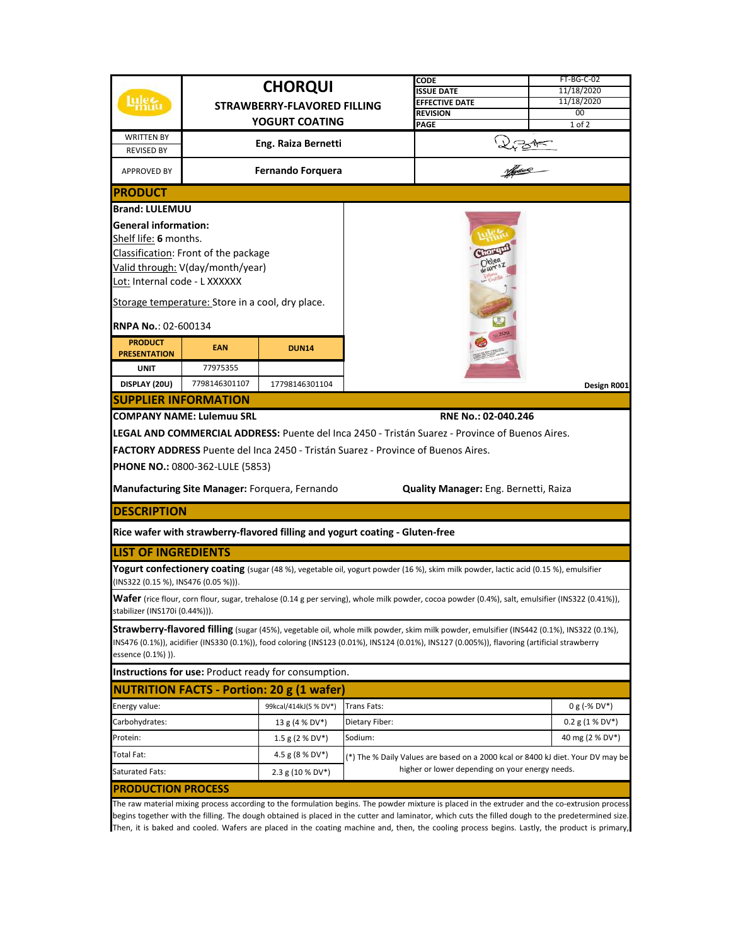|                                      |                                                      |                                                                                   |                                                 | CODE                                                                                                                                              | FT-BG-C-02        |  |
|--------------------------------------|------------------------------------------------------|-----------------------------------------------------------------------------------|-------------------------------------------------|---------------------------------------------------------------------------------------------------------------------------------------------------|-------------------|--|
|                                      | <b>CHORQUI</b><br><b>STRAWBERRY-FLAVORED FILLING</b> |                                                                                   |                                                 | <b>ISSUE DATE</b>                                                                                                                                 | 11/18/2020        |  |
|                                      |                                                      |                                                                                   |                                                 | <b>EFFECTIVE DATE</b>                                                                                                                             | 11/18/2020        |  |
|                                      |                                                      | YOGURT COATING                                                                    |                                                 | <b>REVISION</b><br>PAGE                                                                                                                           | 00<br>1 of 2      |  |
| <b>WRITTEN BY</b>                    |                                                      |                                                                                   |                                                 |                                                                                                                                                   |                   |  |
| <b>REVISED BY</b>                    |                                                      | Eng. Raiza Bernetti                                                               |                                                 |                                                                                                                                                   |                   |  |
| APPROVED BY                          |                                                      | <b>Fernando Forquera</b>                                                          |                                                 | 275                                                                                                                                               |                   |  |
| <b>PRODUCT</b>                       |                                                      |                                                                                   |                                                 |                                                                                                                                                   |                   |  |
| <b>Brand: LULEMUU</b>                |                                                      |                                                                                   |                                                 |                                                                                                                                                   |                   |  |
| <b>General information:</b>          |                                                      |                                                                                   |                                                 |                                                                                                                                                   |                   |  |
| Shelf life: 6 months.                |                                                      |                                                                                   |                                                 |                                                                                                                                                   |                   |  |
|                                      | Classification: Front of the package                 |                                                                                   |                                                 |                                                                                                                                                   |                   |  |
|                                      | Valid through: V(day/month/year)                     |                                                                                   |                                                 |                                                                                                                                                   |                   |  |
| Lot: Internal code - L XXXXXX        |                                                      |                                                                                   |                                                 |                                                                                                                                                   |                   |  |
|                                      | Storage temperature: Store in a cool, dry place.     |                                                                                   |                                                 |                                                                                                                                                   |                   |  |
| <b>RNPA No.: 02-600134</b>           |                                                      |                                                                                   |                                                 |                                                                                                                                                   |                   |  |
| <b>PRODUCT</b>                       | <b>EAN</b>                                           | <b>DUN14</b>                                                                      |                                                 |                                                                                                                                                   |                   |  |
| <b>PRESENTATION</b><br><b>UNIT</b>   | 77975355                                             |                                                                                   |                                                 |                                                                                                                                                   |                   |  |
| DISPLAY (20U)                        | 7798146301107                                        | 17798146301104                                                                    |                                                 |                                                                                                                                                   | Design R001       |  |
| <b>SUPPLIER INFORMATION</b>          |                                                      |                                                                                   |                                                 |                                                                                                                                                   |                   |  |
|                                      | <b>COMPANY NAME: Lulemuu SRL</b>                     |                                                                                   |                                                 | RNE No.: 02-040.246                                                                                                                               |                   |  |
|                                      |                                                      |                                                                                   |                                                 |                                                                                                                                                   |                   |  |
|                                      |                                                      |                                                                                   |                                                 | LEGAL AND COMMERCIAL ADDRESS: Puente del Inca 2450 - Tristán Suarez - Province of Buenos Aires.                                                   |                   |  |
|                                      |                                                      | FACTORY ADDRESS Puente del Inca 2450 - Tristán Suarez - Province of Buenos Aires. |                                                 |                                                                                                                                                   |                   |  |
|                                      | <b>PHONE NO.: 0800-362-LULE (5853)</b>               |                                                                                   |                                                 |                                                                                                                                                   |                   |  |
|                                      |                                                      | Manufacturing Site Manager: Forquera, Fernando                                    |                                                 | Quality Manager: Eng. Bernetti, Raiza                                                                                                             |                   |  |
| <b>DESCRIPTION</b>                   |                                                      |                                                                                   |                                                 |                                                                                                                                                   |                   |  |
|                                      |                                                      | Rice wafer with strawberry-flavored filling and yogurt coating - Gluten-free      |                                                 |                                                                                                                                                   |                   |  |
| <b>LIST OF INGREDIENTS</b>           |                                                      |                                                                                   |                                                 |                                                                                                                                                   |                   |  |
| (INS322 (0.15 %), INS476 (0.05 %))). |                                                      |                                                                                   |                                                 | Yogurt confectionery coating (sugar (48 %), vegetable oil, yogurt powder (16 %), skim milk powder, lactic acid (0.15 %), emulsifier               |                   |  |
| stabilizer (INS170i (0.44%))).       |                                                      |                                                                                   |                                                 | Wafer (rice flour, corn flour, sugar, trehalose (0.14 g per serving), whole milk powder, cocoa powder (0.4%), salt, emulsifier (INS322 (0.41%)),  |                   |  |
|                                      |                                                      |                                                                                   |                                                 | <b>Strawberry-flavored filling</b> (sugar (45%), vegetable oil, whole milk powder, skim milk powder, emulsifier (INS442 (0.1%), INS322 (0.1%),    |                   |  |
| essence (0.1%) )).                   |                                                      |                                                                                   |                                                 | INS476 (0.1%)), acidifier (INS330 (0.1%)), food coloring (INS123 (0.01%), INS124 (0.01%), INS127 (0.005%)), flavoring (artificial strawberry      |                   |  |
|                                      |                                                      | Instructions for use: Product ready for consumption.                              |                                                 |                                                                                                                                                   |                   |  |
|                                      |                                                      | <b>NUTRITION FACTS - Portion: 20 g (1 wafer)</b>                                  |                                                 |                                                                                                                                                   |                   |  |
| Energy value:                        |                                                      | 99kcal/414kJ(5 % DV*)                                                             | Trans Fats:                                     |                                                                                                                                                   | $0 g (-% DV*)$    |  |
| Carbohydrates:                       |                                                      | 13 g (4 % DV*)                                                                    | Dietary Fiber:                                  |                                                                                                                                                   | $0.2$ g (1 % DV*) |  |
| Protein:                             |                                                      | 1.5 g (2 % DV*)                                                                   | Sodium:                                         |                                                                                                                                                   | 40 mg (2 % DV*)   |  |
| Total Fat:                           |                                                      | 4.5 g (8 % DV*)                                                                   |                                                 | (*) The % Daily Values are based on a 2000 kcal or 8400 kJ diet. Your DV may be                                                                   |                   |  |
| Saturated Fats:                      |                                                      | 2.3 g (10 % DV*)                                                                  | higher or lower depending on your energy needs. |                                                                                                                                                   |                   |  |
| <b>PRODUCTION PROCESS</b>            |                                                      |                                                                                   |                                                 |                                                                                                                                                   |                   |  |
|                                      |                                                      |                                                                                   |                                                 | The raw material mixing process according to the formulation begins. The powder mixture is placed in the extruder and the co-extrusion process    |                   |  |
|                                      |                                                      |                                                                                   |                                                 | hegins together with the filling. The dough obtained is placed in the cutter and laminator, which cuts the filled dough to the predetermined size |                   |  |

begins together with the filling. The dough obtained is placed in the cutter and laminator, which cuts the filled dough to the predetermined size. Then, it is baked and cooled. Wafers are placed in the coating machine and, then, the cooling process begins. Lastly, the product is primary,